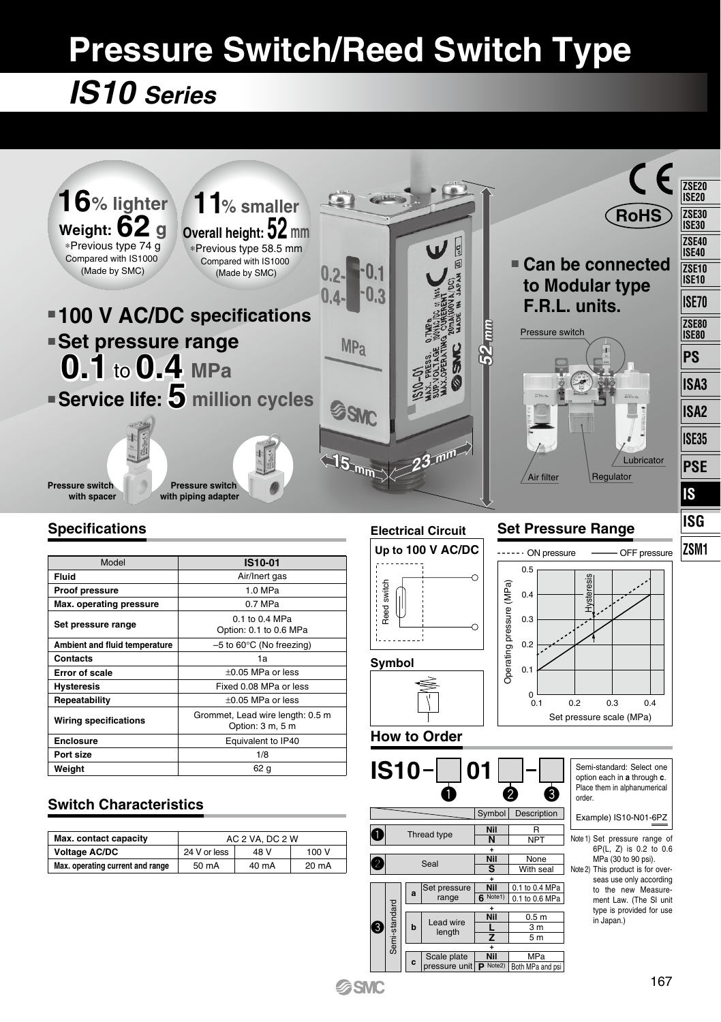# **Pressure Switch/Reed Switch Type**

## *IS10 Series*



## **Switch Characteristics**

| Max. contact capacity            | AC 2 VA, DC 2 W |       |       |
|----------------------------------|-----------------|-------|-------|
| <b>Voltage AC/DC</b>             | 24 V or less    | 48 V  | 100 V |
| Max. operating current and range | 50 mA           | 40 mA | 20 mA |

 $\mathbf 0$  $\bm{e}$ 

**Q** 

Semi-standard

-standard

q w e

Symbol Description **Nil N Nil S**

 $\overline{\phantom{a}}$ NPT None With seal 0.1 to 0.4 MPa  $0.1$  to 0.6 MPa  $0.5<sub>m</sub>$  $\overline{3}$  m  $\overline{5m}$ MPa th MPa and ps

order.

Example) IS10-N01-6PZ

Note 1) Set pressure range of Note 2) This product is for over-

6P(L, Z) is 0.2 to 0.6  $MPa$  (30 to 90 psi). seas use only according to the new Measurement Law. (The SI unit type is provided for use in Japan.)

**+ + Nil +**

**6** Note1)

**Nil L Z Nil P** Note2) pressure unit

Thread type Seal

**a b c** Set press range

ead wire length Scale plate

**+**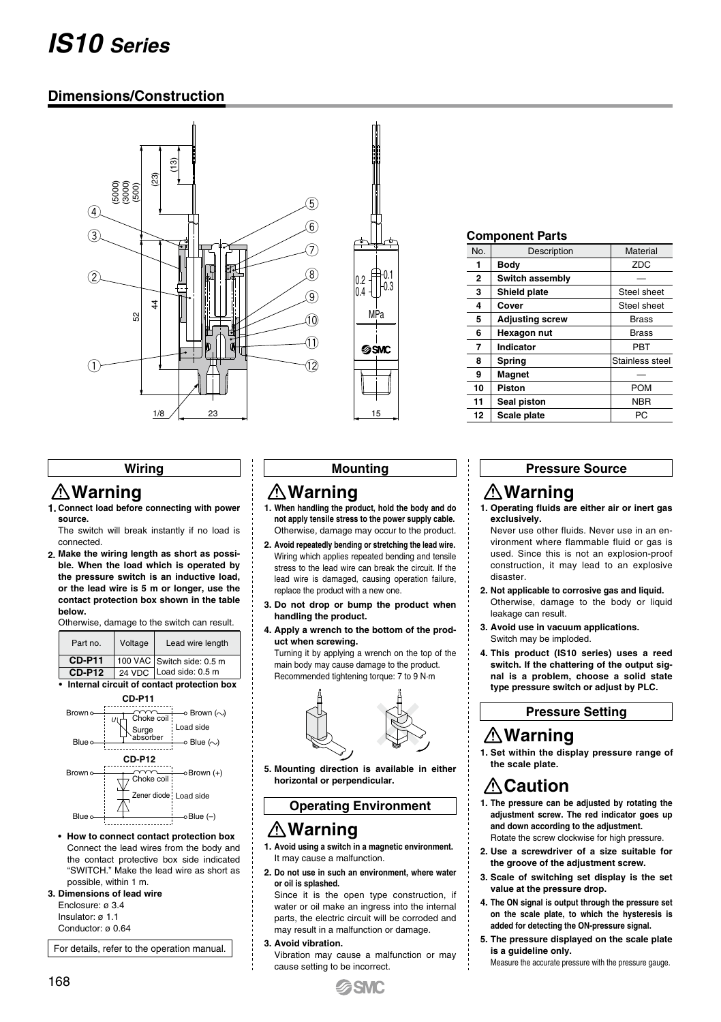## *IS10 Series*

## **Dimensions/Construction**



#### **Component Parts**

| No.            | Description            | Material        |
|----------------|------------------------|-----------------|
| 1              | Body                   | <b>ZDC</b>      |
| $\overline{2}$ | Switch assembly        |                 |
| 3              | Shield plate           | Steel sheet     |
| 4              | Cover                  | Steel sheet     |
| 5              | <b>Adjusting screw</b> | <b>Brass</b>    |
| 6              | Hexagon nut            | <b>Brass</b>    |
| 7              | Indicator              | PBT             |
| 8              | Spring                 | Stainless steel |
| 9              | Magnet                 |                 |
| 10             | Piston                 | <b>POM</b>      |
| 11             | Seal piston            | <b>NBR</b>      |
| 12             | Scale plate            | PC.             |
|                |                        |                 |

#### **Wiring**

### **Warning**

**Connect load before connecting with power 1. source.**

The switch will break instantly if no load is connected.

**Make the wiring length as short as possi-2. ble. When the load which is operated by the pressure switch is an inductive load, or the lead wire is 5 m or longer, use the contact protection box shown in the table below.**

Otherwise, damage to the switch can result.

| Part no.      | Voltage | Lead wire length           |
|---------------|---------|----------------------------|
| <b>CD-P11</b> |         | 100 VAC Switch side: 0.5 m |
| <b>CD-P12</b> |         | 24 VDC Load side: 0.5 m    |
|               |         | $\sim$                     |

**• Internal circuit of contact protection box**



**• How to connect contact protection box** Connect the lead wires from the body and the contact protective box side indicated "SWITCH." Make the lead wire as short as possible, within 1 m.

#### **Dimensions of lead wire 3.**

Enclosure: ø 3.4 Insulator: ø 1.1

Conductor: ø 0.64

For details, refer to the operation manual.

#### **Mounting**

## **Warning**

- **When handling the product, hold the body and do 1. not apply tensile stress to the power supply cable.** Otherwise, damage may occur to the product.
- **Avoid repeatedly bending or stretching the lead wire. 2.** Wiring which applies repeated bending and tensile stress to the lead wire can break the circuit. If the lead wire is damaged, causing operation failure, replace the product with a new one.
- **Do not drop or bump the product when 3. handling the product.**
- **Apply a wrench to the bottom of the prod-4. uct when screwing.**

Turning it by applying a wrench on the top of the main body may cause damage to the product. Recommended tightening torque: 7 to 9 N·m



**Mounting direction is available in either 5. horizontal or perpendicular.**

## **Operating Environment**

## **Warning**

**Avoid using a switch in a magnetic environment. 1.** It may cause a malfunction.

**Do not use in such an environment, where water 2. or oil is splashed.** 

Since it is the open type construction, if water or oil make an ingress into the internal parts, the electric circuit will be corroded and may result in a malfunction or damage.

**Avoid vibration. 3.**

Vibration may cause a malfunction or may cause setting to be incorrect.

#### **Pressure Source**

## **Warning**

**Operating fluids are either air or inert gas 1. exclusively.**

Never use other fluids. Never use in an environment where flammable fluid or gas is used. Since this is not an explosion-proof construction, it may lead to an explosive disaster.

- **Not applicable to corrosive gas and liquid. 2.** Otherwise, damage to the body or liquid leakage can result.
- **Avoid use in vacuum applications. 3.** Switch may be imploded.
- **This product (IS10 series) uses a reed 4. switch. If the chattering of the output signal is a problem, choose a solid state type pressure switch or adjust by PLC.**

**Pressure Setting**

## **Warning**

**Set within the display pressure range of 1. the scale plate.** 

## **Caution**

- **The pressure can be adjusted by rotating the 1. adjustment screw. The red indicator goes up and down according to the adjustment.** Rotate the screw clockwise for high pressure.
- **Use a screwdriver of a size suitable for 2. the groove of the adjustment screw.**
- **Scale of switching set display is the set 3. value at the pressure drop.**
- **The ON signal is output through the pressure set 4. on the scale plate, to which the hysteresis is added for detecting the ON-pressure signal.**
- **The pressure displayed on the scale plate 5. is a guideline only.** 
	- Measure the accurate pressure with the pressure gauge.